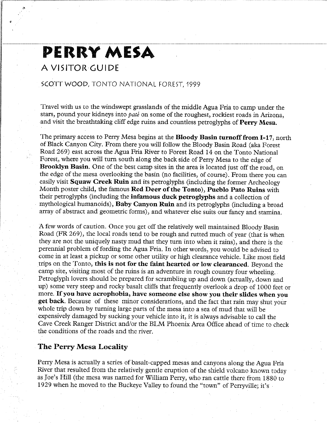### **PERRY MESA**

#### **A VISITOR GUIDE**

•

#### SCOTT WOOD, TONTO NATIONAL FOREST, 1999

Travel with us to the windswept grasslands of the middle Agua Fria to camp under the stars, pound your kidneys into *pate* on some of the roughest, rockiest roads in Arizona, and visit the breathtaking cliff edge ruins and countless petroglyphs of **Perry Mesa.** 

The primary access to Perry Mesa begins at the **Bloody Basin turnoff from 1-17,** north of Black Canyon City. From there you will follow the Bloody Basin Road (aka Forest Road 269) east across the Agua Fria River to Forest Road 14 on the Tonto National Forest, where you will turn south along the back side of Perry Mesa to the edge of **Brooklyn Basin.** One of the best camp sites in the area is located just off the road, on the edge of the mesa overlooking the basin (no facilities, of course). From there you can easily visit **Squaw Creek Ruin** and its petroglyphs (including the former Archeology Month poster child, the famous **Red Deer of the Tonto), Pueblo Pato Ruins** with their petroglyphs (including the **infamous duck petroglyphs** and a collection of mythological humanoids), **Baby Canyon Ruin** and its petroglyphs (including a broad array of abstract and geometric forms), and whatever else suits our fancy and stamina.

A few words of caution. Once you get off the relatively well maintained Bloody Basin Road **(FR** 269), the local roads tend to be rough and rutted much of year (that is when they are not the uniquely nasty mud that they turn into when it rains), and there is the perennial problem of fording the Agua Fria. In other words, you would be advised to come in at least a pickup or some other utility or high clearance vehicle. Like most field trips on the Tonto, **this is not for the faint hearted or low clearanced.** Beyond the camp site, visiting most of the ruins is an adventure in rough country four wheeling. Petroglyph lovers should be prepared for scrambling up and down (actually, down and up) some very steep and rocky basalt cliffs that frequently overlook a drop of 1000 feet or more. If **you have acrophobia, have someone else show you their slides when you get back.** Because of these minor considerations, and the fact that rain may shut your whole trip down by turning large parts of the mesa into a sea of mud that will be expensively damaged by sucking your vehicle into it, it is always advisable to call the Cave Creek Ranger District and/or the ELM Phoenix Area Office ahead of time to check the conditions of the roads and the river.

#### **The Perry Mesa Locality**

Perry Mesa is actually a series of basalt-capped mesas and canyons along the Agua Fria River that resulted from the relatively gentle eruption of the shield volcano known today as Joe's Hill (the mesa was named for William Perry, who ran cattle there from 1880 to 1929 when he moved to the Buckeye Valley to found the "town" of Perryville; it's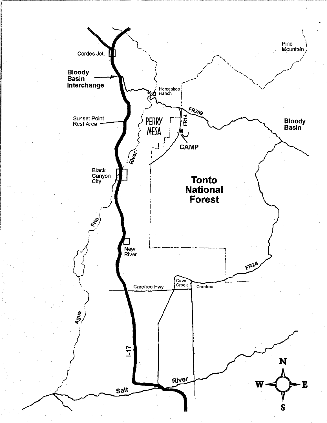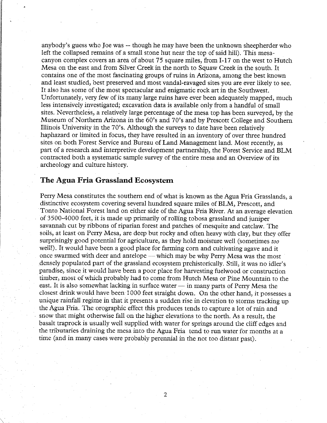anybody's guess who Joe was -- though he may have been the unknown sheepherder who left the collapsed remains of a small stone hut near the top of said hill). This mesacanyon complex covers an area of about 75 square miles, from 1-17 on the west to Hutch Mesa on the east and from Silver Creek in the north to Squaw Creek in the south. It contains one of the most fascinating groups of ruins in Arizona, among the best known and least studied, best preserved and most vandal-ravaged sites you are ever likely to see. It also has some of the most spectacular and enigmatic rock art in the Southwest. Unfortunately, very few of its many large ruins have ever been adequately mapped, much less intensively investigated; excavation data is available only from a handful of small sites. Nevertheless, a relatively large percentage of the mesa top has been surveyed, by the Museum of Northern Arizona in the 60's and 70's and by Prescott College and Southern Illinois University in the 70's. Although the surveys to date have been relatively haphazard or limited in focus, they have resulted in an inventory of over three hundred sites on both Forest Service and Bureau of Land Management land. Most recently, as part of a research and interpretive development partnership, the Forest Service and BLM contracted both a systematic sample survey of the entire mesa and an Overview of its archeology and culture history.

#### **The Agua Fria Grassland Ecosystem**

Perry Mesa constitutes the southern end of what is known as the Agua Fria Grasslands, a distinctive ecosystem covering several hundred square miles of BLM, Prescott, and Tonto National Forest land on either side of the Agua Fria River. At an average elevation of 3500-4000 feet, it is made up primarily of rolling tobosa grassland and juniper savannah cut by ribbons of riparian forest and patches of mesquite and catclaw. The soils, at least on Perry Mesa, are deep but rocky and often heavy with clay, but they offer surprisingly good potential for agriculture, as they hold moisture well (sometimes *too*  well!). It would have been a good place for farming corn and cultivating agave and it once swarmed with deer and antelope — which may be why Perry Mesa was the most densely populated part of the grassland ecosystem prehistorically. Still, it was no idler's paradise, since it would have been a poor place for harvesting fuelwood or construction timber, most of which probably had to come from Hutch Mesa or Pine Mountain to the east. It is also somewhat lacking in surface water  $-$  in many parts of Perry Mesa the closest drink would have been 1000 feet straight down. On the other hand, it possesses a unique rainfall regime in that it presents a sudden rise in elevation to storms tracking up the Agua Fria. The orographic effect this produces tends to capture a lot of rain and snow that might otherwise fall on the higher elevations to the north. As a result, the basalt traprock is usually well supplied with water for springs around the cliff edges and the tributaries draining the mesa into the Agua Fria tend to run water for months at a time (and in many cases were probably perennial in the not too distant past).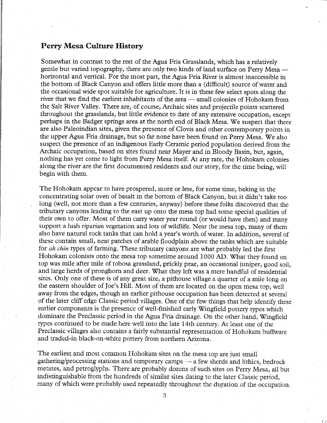#### **Perry Mesa Culture History**

I

Somewhat in contrast to the rest of the Agua Fria Grasslands, which has a relatively gentle but varied topography, there are only two kinds of land surface on Perry Mesa horizontal and vertical. For the most part, the Agua Fria River is almost inaccessible in the bottom of Black Canyon and offers little more than a (difficult) source of water and the occasional wide spot suitable for agriculture. It is in these few select spots along the river that we find the earliest inhabitants of the area - small colonies of Hohokam from the Salt River Valley. There are, of course, Archaic sites and projectile points scattered throughout the grasslands, but little evidence to date of any extensive occupation, except perhaps in the Badger springs area at the north end of Black Mesa. We suspect that there are also Paleoindian sites, given the presence of Clovis and other contemporary points in the upper Agua Fria drainage, but so far none have been found on Perry Mesa. We also suspect the presence of an indigenous Early Ceramic period population derived from the Archaic occupation, based on sites found near Mayer and in Bloody Basin, but, again, nothing has yet come to light from Perry Mesa itself. At any rate, the Hohokam colonies along the river are the first documented residents and our story, for the time being, will begin with them.

The Hohokam appear to have prospered, more or less, for some time, baking in the concentrating solar oven of basalt in the bottom of Black Canyon, but it didn't take too long (well, not more than a few centuries, anyway) before these folks discovered that the tributary canyons leading to the east up onto the mesa top had some special qualities of their own to offer. Most of them carry water year round ( or would have then) and many support a lush riparian vegetation and lots of wildlife. Near the mesa top, many of them also have natural rock tanks that can hold a year's worth of water. In addition, several of these contain small, neat patches of arable floodplain above the tanks which are suitable for *ak chin* types of farming. These tributary canyons are what probably led the first Hohokam colonists onto the mesa top sometime around 1000 AD. What they found on top was mile after mile of tobosa grassland, prickly pear, an occasional juniper, good soil, and large herds of pronghorn and deer. What they left was a mere handful of residential sites. Only one of these is of any great size, a pithouse village a quarter of a mile long on the eastern shoulder of Joe's Hill. Most of them are located on the open mesa top, well away from the edges, though an earlier pithouse occupation has been detected at several of the later cliff edge Classic period villages. One of the few things that help identify these earlier components is the presence of well-finished early Wingfield pottery types which dominate the Preclassic period in the Agua Fria drainage. On the other hand, Wingfield types continued to be made here well into the late 14th century. At least one of the Preclassic villages also contains a fairly substantial representation of Hohokam buffware and traded-in black-on-white pottery from northern Arizona.

The earliest and most common Hohokam sites on the mesa top are just small gathering/processing stations and temporary camps - a few sherds and lithics, bedrock metates, and petroglyphs. There are probably dozens of such sites on Perry Mesa, all but indistinguishable from the hundreds of similar sites dating to the later Classic period, many of which were probably used repeatedly throughout the duration of the occupation.

 $\hat{\mathcal{C}}$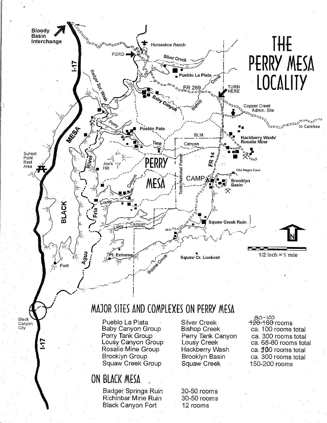

- 
- 150-200 rooms

### ON BLACK MESA

Badger Springs Ruin Richinbar Mine Ruin Black Canyon Fort

Squaw Creek Group

30-50 rooms 30-50 rooms 12 rooms

Squaw Creek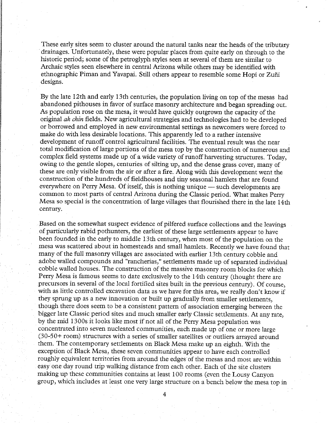These early sites seem to cluster around the natural tanks near the heads of the tributary drainages. Unfortunately, these were popular places from quite early on through to the historic period; some of the petroglyph styles seen at several of them are similar to Archaic styles seen elsewhere in central Arizona while others may be identified with ethnographic Piman and Yavapai. Still others appear to resemble some Hopi or Zuni designs.

By the late 12th and early 13th centuries, the population living on top of the mesas had abandoned pithouses in favor of surface masonry architecture and began spreading out. As population rose on the mesa, it would have quickly outgrown the capacity of the original *ak chin* fields. New agricultural strategies and technologies had to be developed or borrowed and employed in new environmental settings as newcomers were forced to make do with less desirable locations. This apparently led to a rather intensive development of runoff control agricultural facilities. The eventual result was the near total modification of large portions of the mesa top by the construction of numerous and complex field systems made up of a wide variety of runoff harvesting structures. Today, owing to the gentle slopes, centuries of silting up, and the dense grass cover, many of these are only visible from the air or after a fire. Along with this development went the construction of the hundreds of fieldhouses and tiny seasonal hamlets that are found everywhere on Perry Mesa. Of itself, this is nothing unique — such developments are common to most parts of central Arizona during the Classic period. What makes Perry Mesa so special is the concentration of large villages that flourished there in the late 14th century.

Based on the somewhat suspect evidence of pilfered surface collections and the leavings of particularly rabid pothunters, the earliest of these large settlements appear to have been founded in the early to middle 13th century, when most of the population on the mesa was scattered about in homesteads and small hamlets. Recently we have found that many of the full masonry villages are associated with earlier 13th century cobble and adobe walled compounds and "rancherias," settlements made up of separated individual cobble walled houses. The construction of the massive masonry room blocks for which Perry Mesa is famous seems to date exclusively to the 14th century (thought there are precursors in several of the local fortified sites built in the previous century). Of course, with as little controlled excavation data as we have for this area, we really don't know if they sprung up as a new innovation or built up gradually from smaller settlements, though there does seem to be a consistent pattern of association emerging between the bigger late Classic period sites and much smaller early Classic settlements. At any rate, by the mid 1300s it looks like most if not all of the Perry Mesa population was concentrated into seven nucleated communities, each made up of one or more large (30-50+ room) structures with a series of smaller satellites or outliers arrayed around them. The contemporary settlements on Black Mesa make up an eighth. With the exception of Black Mesa, these seven communities appear to have each controlled roughly equivalent territories from around the edges of the mesas and most are within easy one day round trip walking distance from each other. Each of the site clusters making up these communities contains at least 100 rooms (even the Lousy Canyon group, which includes at least one very large structure on a bench below the mesa top in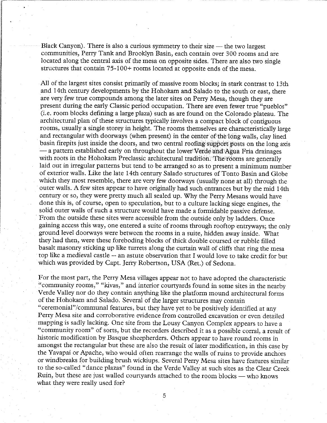Black Canyon). There is also a curious symmetry to their size  $-$  the two largest communities, Perry Tank and Brooklyn Basin, each contain over 300 rooms and are located along the central axis of the mesa on opposite sides. There are also two single structures that contain 75-100+ rooms located at opposite ends of the mesa.

All of the largest sites consist primarily of massive room blocks; in stark contrast to 13th and 14th century developments by the Hohokam and Salado to the south or east, there are very few true compounds among the later sites on Perry Mesa, though they are present during the early Classic period occupation. There are even fewer true "pueblos" (i.e. room blocks defining a large plaza) such as are found on the Colorado plateau. The architectural plan of these structures typically involves a compact block of contiguous rooms, usually a single storey in height. The rooms themselves are characteristically large and rectangular with doorways (when present) in the center of the long walls, clay lined basin firepits just inside the doors, and two central roofing support posts on the long axis - a pattern established early on throughout the lower Verde and Agua Fria drainages with roots in the Hohokam Preclassic architectural tradition. 'The'rooms are generally laid out in irregular patterns but tend to be arranged so as to present a minimum number of exterior walls. Like the late 14th century Salado structures of Tonto Basin and Globe which they most resemble, there are very few doorways (usually none at all) through the outer walls. A few sites appear to have originally had such entrances but by the mid 14th century or so, they were pretty much all sealed up. Why the Perry Mesans would have done this is, of course, open to speculation, but to a culture lacking siege engines, the solid outer walls of such a structure would have made a formidable passive defense. From the outside these sites were accessible from the outside only by ladders. Once gaining access this way, one entered a suite of rooms through rooftop entryways; the only ground level doorways were between the rooms in a suite, hidden away inside. What they had then, were these foreboding blocks of thick double coursed or rubble filled basalt masonry sticking up like turrets along the curtain wall of cliffs that ring the mesa top like a medieval castle -- an astute observation that I would love to take credit for but which was provided by Capt. Jerry Robertson, USA (Ret.) of Sedona.

For the most part, the Perry Mesa villages appear not to have adopted the characteristic "community rooms," "kivas," and interior courtyards found in some sites in the nearby Verde Valley nor do they contain anything like the platform mound architectural forms of the Hohokam and Salado. Several of the larger structures may contain "ceremonial"/communal features, but they have yet to be positively identified at any Perry Mesa site and corroborative evidence from controlled excavation or even detailed mapping is sadly lacking. One site from the Lousy Canyon Complex appears to have a "community room" of sorts, but the recorders described it as a possible corral, a result of historic modification by Basque sheepherders. Others appear to have round rooms in amongst the rectangular but these are also the result of later modification, in this case by the Yavapai or Apache, who would often rearrange the walls of ruins to provide anchors or windbreaks for building brush wickiups. Several Perry Mesa sites have features similar to the so-called "dance plazas" found in the Verde Valley at such sites as the Clear Creek Ruin, but these are just walled courtyards attached to the room blocks - who knows what they were really used for?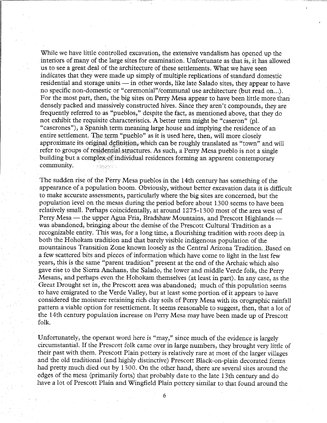While we have little controlled excavation, the extensive vandalism has opened up the interiors of many of the large sites for examination. Unfortunate as that is, it has allowed us to see a great deal of the architecture of these settlements. What we have seen indicates that they were made up simply of multiple replications of standard domestic residential and storage units - in other words, like late Salado sites, they appear to have no specific non-domestic or "ceremonial"/communal use architecture (but read on...). For the most part, then, the big sites on Perry Mesa appear to have been little more than densely packed and massively constructed hives. Since they aren't compounds, they are frequently referred to as "pueblos," despite the fact, as mentioned above, that they do not exhibit the requisite characteristics. A better term might be "caseron" (pl. "caserones"), a Spanish term meaning large house and implying the residence of an entire settlement. The term "pueblo" as it is used here, then, will more closely approximate its original definition, which can be roughly translated as "town" and will refer to groups of residential structures. As such, a Perry Mesa pueblo is not a single building but a complex of individual residences forming an apparent contemporary community. **Jasas**h

The sudden rise of the Perry Mesa pueblos in the 14th century has something of the appearance of a population boom. Obviously, without better excavation data it is difficult to make accurate assessments, particularly where the big sites are concerned, but the population level on the mesas during the period before about 1300 seems to have been relatively small. Perhaps coincidentally, at around 1275-1300 most of the area west of Perry Mesa  $-$  the upper Agua Fria, Bradshaw Mountains, and Prescott Highlands  $$ was abandoned, bringing about the demise of the Prescott Cultural Tradition as a recognizable entity. This was, for a long time, a flourishing tradition with roots deep in both the Hohokam tradition and that barely visible indigenous population of the mountainous Transition Zone known loosely as the Central Arizona Tradition. Based on a few scattered bits and pieces of information which have come to light in the last few years, this is the same "parent tradition" present at the end of the Archaic which also gave rise to the Sierra Anchans, the Salado, the lower and middle Verde folk, the Perry Mesans, and perhaps even the Hohokam themselves (at least in part). In any case, as the Great Drought set in, the Prescott area was abandoned; much of this population seems to have emigrated to the Verde Valley, but at least some portion of it appears to have considered the moisture retaining rich clay soils of Perry Mesa with its orographic rainfall pattern a viable option for resettlement. It seems reasonable to suggest, then, that a lot of the 14th century population increase on Perry Mesa may have been made up of Prescott folk.

Unfortunately, the operant word here is "may," since much of the evidence is largely circumstantial. If the Prescott folk came over in large numbers, they brought very little of their past with them. Prescott Plain pottery is relatively rare at most of the larger villages and the old traditional (and highly distinctive) Prescott Black-on-plain decorated forms had pretty much died out by 1300. On the other hand, there are several sites around the edges of the mesa (primarily forts) that probably date to the late 13th century and do have a lot of Prescott Plain and Wingfield Plain pottery similar to that found around the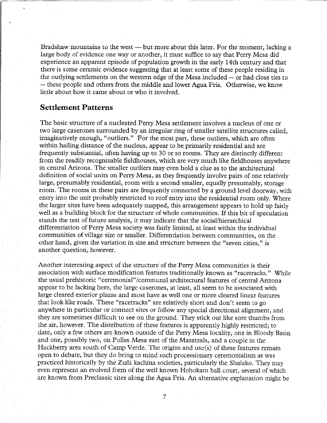Bradshaw mountains to the west — but more about this later. For the moment, lacking a large body of evidence one way or another, it must suffice to say that Perry Mesa did experience an apparent episode of population growth in the early 14th century and that there is some ceramic evidence suggesting that at least some of these people residing in the outlying settlements on the western edge of the Mesa included -- or had close ties to -- these people and others from the middle and lower Agua Fria. Otherwise, we know little about how it came about or who it involved.

#### **Settlement Patterns**

The basic structure of a nucleated Perry Mesa settlement involves a nucleus of one or two large caserones surrounded by an irregular ring of smaller satellite structures called, imaginatively enough, "outliers." For the most part, these outliers, which are often within hailing distance of the nucleus, appear to be primarily residential and are frequently substantial, often having up to 30 or so rooms. They are distinctly different from the readily recognizable fieldhouses, which are very much like fieldhouses anywhere in central Arizona. The smaller outliers may even hold a clue as to the architectural definition of social units on Perry Mesa, as they frequently involve pairs of one relatively large, presumably residential, room with a second smaller, equally presumably, storage room. The rooms in these pairs are frequently connected by a ground level doorway, with entry into the unit probably restricted to roof entry into the residential room only. Where the larger sites have been adequately mapped, this arrangement appears to hold up fairly well as a building block for the structure of whole communities. If this bit of speculation stands the test of future analysis, it may indicate that the social/hierarchical differentiation of Perry Mesa society was fairly limited, at least within the individual communities of village size or smaller. Differentiation between communities, on the other hand, given the variation in size and structure between the "seven cities," is another question, however.

Another interesting aspect of the structure of the Perry Mesa communities is their association with surface modification features traditionally known as "racetracks." While the usual prehistoric "ceremonial" /communal architectural features of central Arizona appear to be lacking here, the large caserones, at least, all seem to be associated with large cleared exterior plazas and most have as well one or more cleared linear features that look like roads. These "racetracks" are relatively short and don't seem to go anywhere in particular or connect sites or follow any special directional alignment, and they are sometimes difficult to see on the ground. They stick out like sore thumbs from the air, however. The distribution of these features is apparently highly restricted; to date, only a few others are known outside of the Perry Mesa locality, one in Bloody Basin and one, possibly two, on Pofles Mesa east of the Mazatzals, and a couple in the Hackberry area south of Camp Verde. The origins and use(s) of these features remain open to debate, but they do bring to mind such processionary ceremonialism as was practiced historically by the Zufii kachina societies, particularly the Shalako. They may even represent an evolved form of the well known Hohokam ball court, several of which are known from Preclassic sites along the Agua Fria. An alternative explanation might be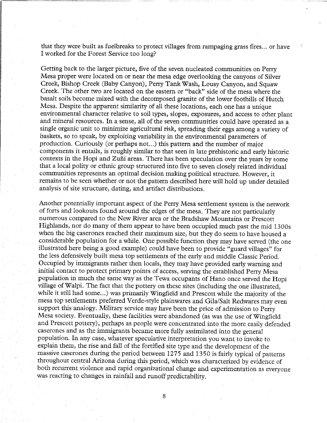that they were built as fuelbreaks to protect villages from rampaging grass fires ... or have I worked for the Forest Service too long?

Getting back to the larger picture, five of the seven nucleated communities on Perry Mesa proper were located on or near the mesa edge overlooking the canyons of Silver Creek, Bishop Creek (Baby Canyon), Perry Tank Wash, Lousy Canyon, and Squaw Creek. The other two are located on the eastern or "back" side of the mesa where the basalt soils become mixed with the decomposed granite of the lower foothills of Hutch Mesa. Despite the apparent similarity of all these locations, each one has a unique environmental character relative to soil types, slopes, exposures, and access to other plant and mineral resources. In a sense, all of the seven communities could have operated as a single organic unit to minimize agricultural risk, spreading their eggs among a variety of baskets, so to speak, by exploiting variability in the environmental parameters of production. Curiously (or perhaps not...) this pattern and the number of major components it entails, is roughly similar to that seen in late prehistoric and early historic contexts in the Hopi and Zuñi areas. There has been speculation over the years by some that a local polity or ethnic group structured into five to seven closely related individual communities represents an optimal decision making political structure. However, it remains to be seen whether or not the pattern described here will hold up under detailed analysis of site structure, dating, and artifact distributions.

Another potentially important aspect of the Perry Mesa settlement system is the network of forts and lookouts found around the edges of the mesa. They are not particularly numerous compared to the New River area or the Bradshaw Mountains or Prescott Highlands, nor do many of them appear to have been occupied much past the mid 1300s when the big caserones reached their maximum size, but they do seem to have housed a considerable population for a while. One possible function they may have served (the one illustrated here being a good example) could have been to provide "guard villages" for the less defensively built mesa top settlements of the early and middle Classic Period. Occupied by immigrants rather then locals, they may have provided eatly warning and initial contact to protect primary points of access, serving the established Perry Mesa population in much the same way as the Tewa occupants of Hano once served the Hopi village of Walpi. The fact that the pottery on these sites (including the one illustrated, while it still had some...) was primarily Wingfield and Prescott while the majority of the mesa top settlements preferred Verde-style plainwares and Gila/Salt Redwares may even support this analogy. Military service may have been the price of admission to Perry Mesa society. Eventually, these facilities were abandoned (as was the use of Wingfield and Prescott pottery); perhaps as people were concentrated into the more easily defended caserones and as the immigrants became more fully assimilated into the general population. In any case, whatever speculative interpretation you want to invoke to explain them, the rise and fall of the fortified site type and the development of the massive caserones during the period between 1275 and 1350 is fairly typical of patterns throughout central Arizona during this period, which was characterized by evidence of both recurrent violence and rapid organizational change and experimentation as everyone was reacting to changes in rainfall and runoff predictability.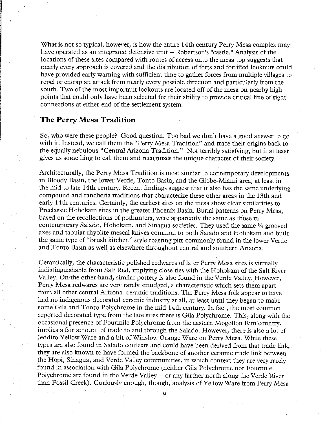What is not so typical, however, is how the entire 14th century Perry Mesa complex may have operated as an integrated defensive unit -- Robertson's "castle." Analysis of the locations of these sites compared with routes of access onto the mesa top suggests that nearly every approach is covered and the distribution of forts and fortified lookouts could have provided early warning with sufficient time to gather forces from multiple villages to repel or entrap an attack from nearly every possible direction and particularly from the south. Two of the most important lookouts are located off of the mesa on nearby high points that could only have been selected for their ability to provide critical line of sight connections at either end of the settlement system.

#### **The Perry Mesa Tradition**

**ISANYA MENGENYA KATA** 

So, who were these people? Good question. Too bad we don't have a good answer to go with it. Instead, we call them the "Perry Mesa Tradition" and trace their origins back to the equally nebulous "Central Arizona Tradition." Not terribly satisfying, but it at least gives us something to call them and recognizes the unique character of their society.

Architecturally, the Perry Mesa Tradition is most similar to contemporary developments in Bloody Basin, the lower Verde, Tonto Basin, and the Globe-Miami area, at least in the mid to late 14th century. Recent findings suggest that it also has the same underlying compound and rancheria traditions that characterize these other areas in the 13th and early 14th centuries. Certainly, the earliest sites on the mesa show clear similarities to Preclassic Hohokam sites in the greater Phoenix Basin. Burial patterns on Perry Mesa, based on the recollections of pothunters, were apparently the same as those in contemporary Salado, Hohokam, and Sinagua societies. They used the same % grooved axes and tabular rhyolite mescal knives common to both Salado and Hohokam and built the same type of "brush kitchen" style roasting pits commonly found in the lower Verde and Tonto Basin as well as elsewhere throughout central and southern Arizona.

Ceramically, the characteristic polished redwares of later Perry Mesa sites is virtually indistinguishable from Salt Red, implying close ties with the Hohokam of the Salt River Valley. On the other hand, similar pottery is also found in the Verde Valley. However, Perry Mesa redwares are very rarely smudged, a characteristic which sets them apart from all other central Arizona ceramic traditions. The Perry Mesa folk appear to have had no indigenous decorated ceramic industry at all, at least until they began to make some Gila and Tonto Polychrome in the mid 14th century. In fact, the most common reported decorated type from the late sites there is Gila Polychrome. This, along with the occasional presence of Fourmile Polychrome from the eastern Mogollon Rim country, implies a fair amount of trade to and through the Salado. However, there is also a lot of Jeddito Yellow Ware and a bit of Winslow Orange Ware on Perry Mesa. While these types are also found in Salado contexts and could have been derived from that trade link, they are also known to have formed the backbone of another ceramic trade link between the Hopi, Sinagua, and Verde Valley communities, in which context they are very rarely found in association with Gila Polychrome (neither Gila Polychrome nor Fourmile Polychrome are found in the Verde Valley -- or any farther north along the Verde River than Fossil Creek). Curiously enough, though, analysis of Yellow Ware from Perry Mesa

 $\alpha$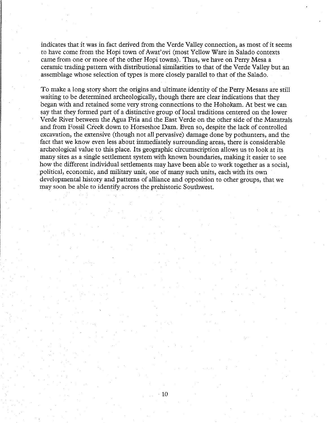indicates that it was in fact derived from the Verde Valley connection, as most of it seems to have come from the Hopi town of Awat'ovi (most Yellow Ware in Salado contexts came from one or more of the other Hopi towns). Thus, we have on Perry Mesa a ceramic trading pattern with distributional similarities to that of the Verde Valley but an assemblage whose selection of types is more closely parallel to that of the Salado.

To make a long story short the origins and ultimate identity of the Perry Mesans are still waiting to be determined archeologically, though there are clear indications that they began with and retained some very strong connections to the Hohokam. At best we can say that they formed part of a distinctive group of local traditions centered on the lower Verde River between the Agua Fria and the East Verde on the other side of the Mazatzals and from Fossil Creek down to Horseshoe Dam. Even so, despite the lack of controlled excavation, the extensive (though not all pervasive) damage done by pothunters, and the fact that we know even less about immediately surrounding areas, there is considerable archeological value to this place. Its geographic circumscription allows us to look at its many sites as a single settlement system with known boundaries, making it easier to see how the different individual settlements may have been able to work together as a social, political, economic, and military unit, one of many such units, each with its own developmental history and patterns of alliance and opposition to other groups, that we may soon be able to identify across the prehistoric Southwest.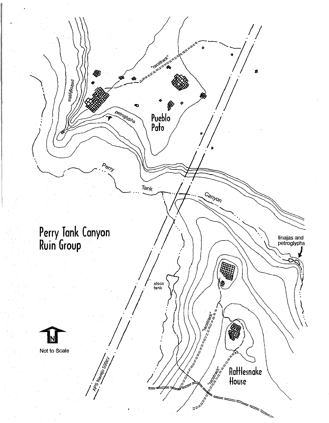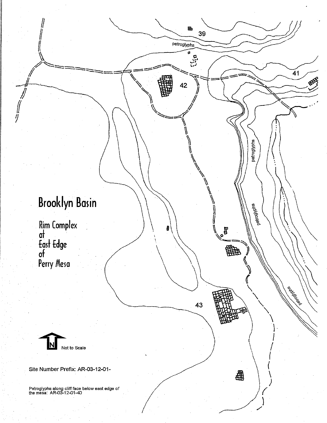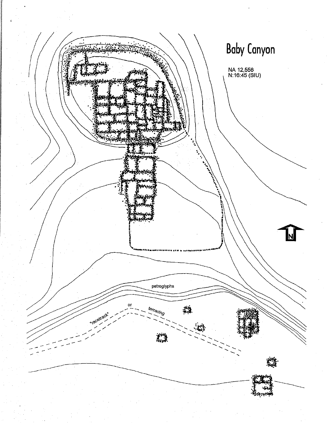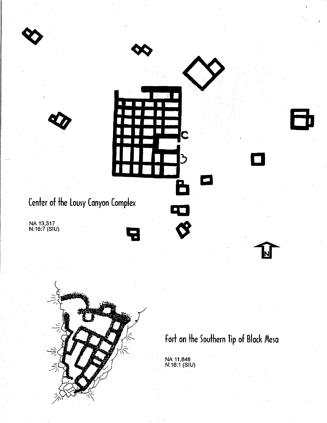

Fort on the Southern Tip of Black Mesa

NA 11,646<br>N:16:1 (SIU)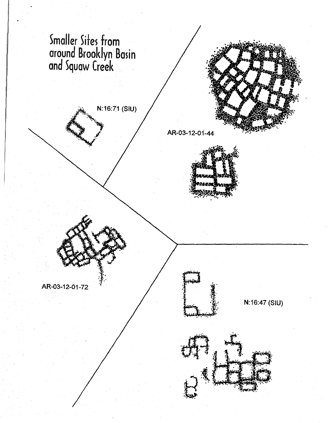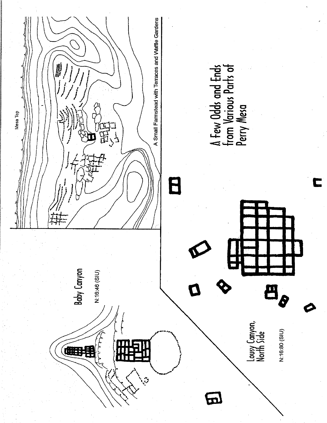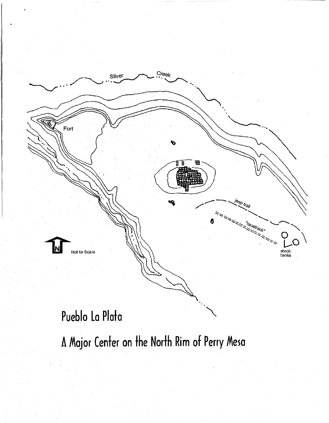

## Pueblo La Plata

A Major Center on the North Rim of Perry Mesa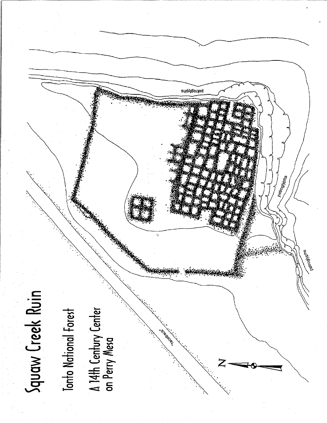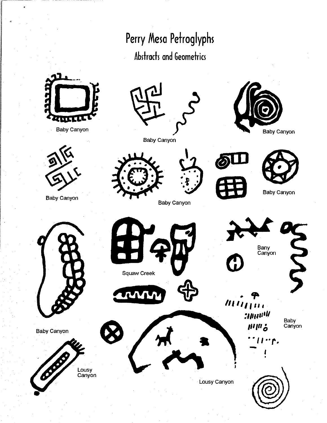**Perry Mesa Petroglyphs** 

### **Abstracts and Geometrics**



Baby canyon



Baby Canyon



Baby canyon





Baby canyon

Baby Canyon

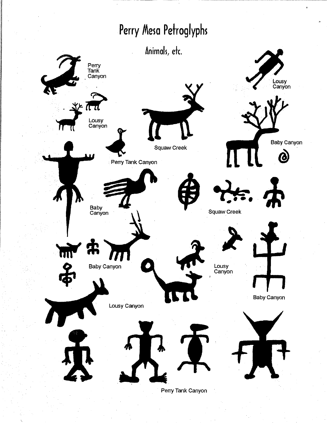### Perry Mesa Petroglyphs

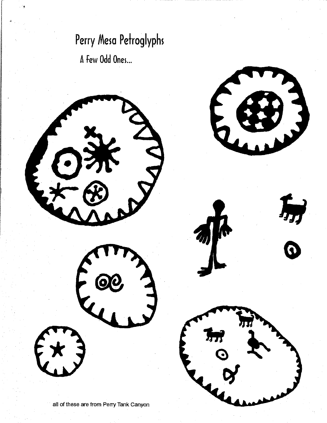# Perry Mesa Petroglyphs

A Few Odd Ones...

r ,

|<br>|-<br>|-<br>|<br>|<br>|<br>|